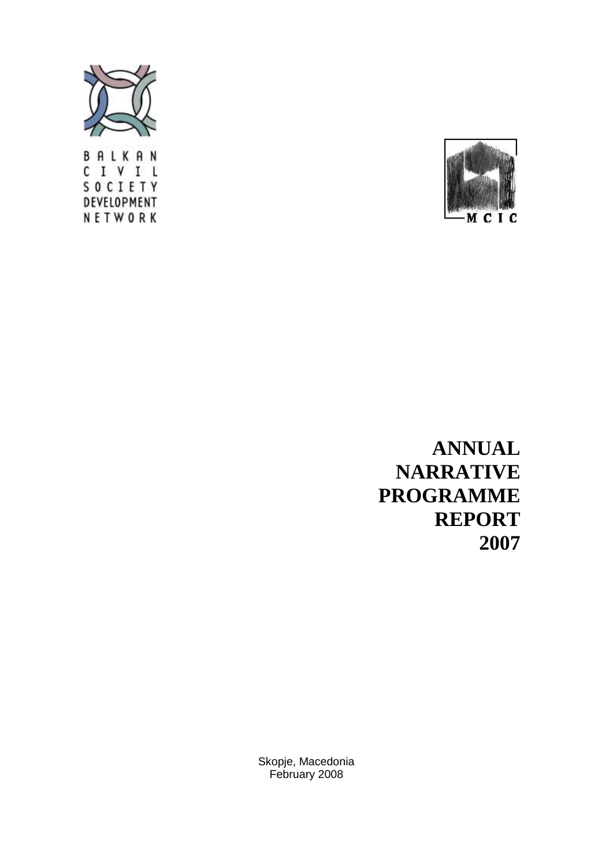

BALKAN CIVIL SOCIETY DEVELOPMENT NETWORK



**ANNUAL NARRATIVE PROGRAMME REPORT 2007**

Skopje, Macedonia February 2008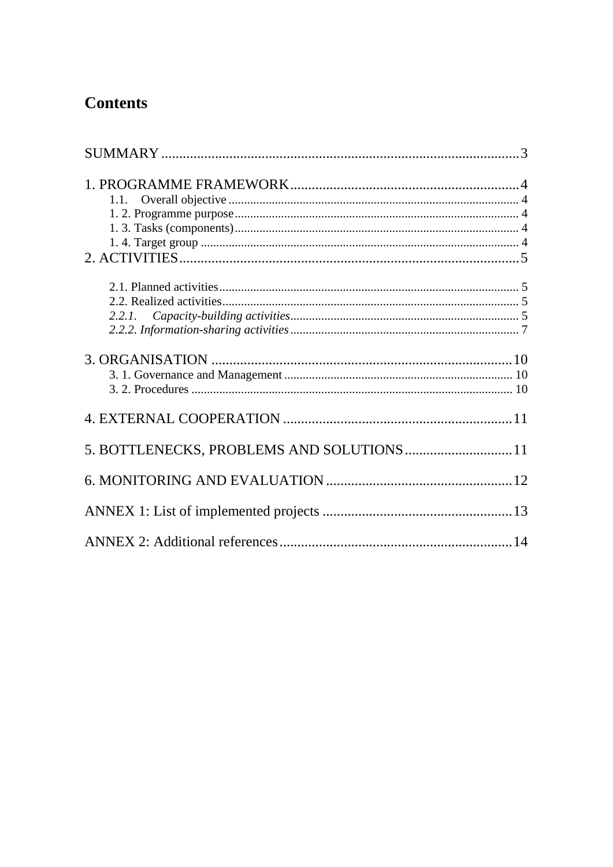# **Contents**

| 2.2.1.                                     |  |
|--------------------------------------------|--|
|                                            |  |
|                                            |  |
| 5. BOTTLENECKS, PROBLEMS AND SOLUTIONS  11 |  |
|                                            |  |
|                                            |  |
|                                            |  |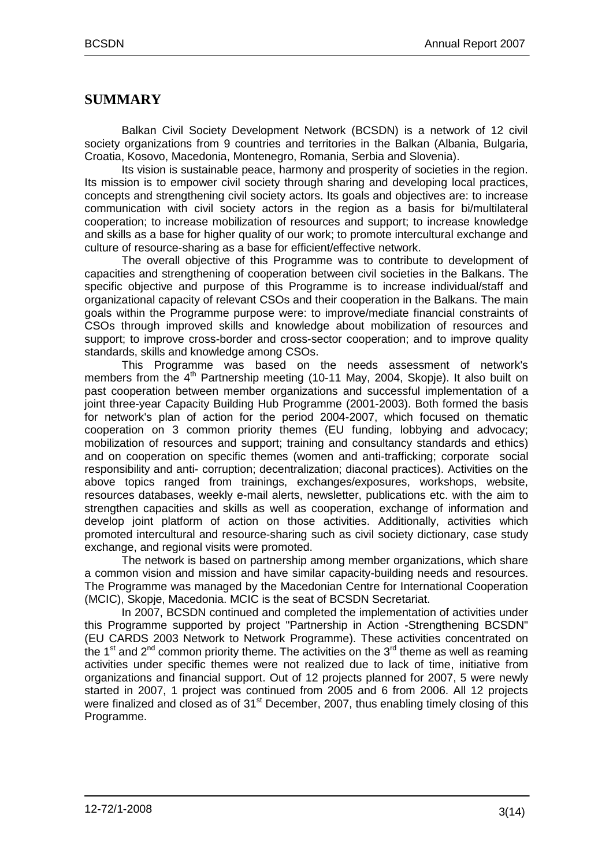## <span id="page-2-0"></span>**SUMMARY**

Balkan Civil Society Development Network (BCSDN) is a network of 12 civil society organizations from 9 countries and territories in the Balkan (Albania, Bulgaria, Croatia, Kosovo, Macedonia, Montenegro, Romania, Serbia and Slovenia).

Its vision is sustainable peace, harmony and prosperity of societies in the region. Its mission is to empower civil society through sharing and developing local practices, concepts and strengthening civil society actors. Its goals and objectives are: to increase communication with civil society actors in the region as a basis for bi/multilateral cooperation; to increase mobilization of resources and support; to increase knowledge and skills as a base for higher quality of our work; to promote intercultural exchange and culture of resource-sharing as a base for efficient/effective network.

The overall objective of this Programme was to contribute to development of capacities and strengthening of cooperation between civil societies in the Balkans. The specific objective and purpose of this Programme is to increase individual/staff and organizational capacity of relevant CSOs and their cooperation in the Balkans. The main goals within the Programme purpose were: to improve/mediate financial constraints of CSOs through improved skills and knowledge about mobilization of resources and support; to improve cross-border and cross-sector cooperation; and to improve quality standards, skills and knowledge among CSOs.

This Programme was based on the needs assessment of network's members from the 4<sup>th</sup> Partnership meeting (10-11 May, 2004, Skopie). It also built on past cooperation between member organizations and successful implementation of a joint three-year Capacity Building Hub Programme (2001-2003). Both formed the basis for network's plan of action for the period 2004-2007, which focused on thematic cooperation on 3 common priority themes (EU funding, lobbying and advocacy; mobilization of resources and support; training and consultancy standards and ethics) and on cooperation on specific themes (women and anti-trafficking; corporate social responsibility and anti- corruption; decentralization; diaconal practices). Activities on the above topics ranged from trainings, exchanges/exposures, workshops, website, resources databases, weekly e-mail alerts, newsletter, publications etc. with the aim to strengthen capacities and skills as well as cooperation, exchange of information and develop joint platform of action on those activities. Additionally, activities which promoted intercultural and resource-sharing such as civil society dictionary, case study exchange, and regional visits were promoted.

The network is based on partnership among member organizations, which share a common vision and mission and have similar capacity-building needs and resources. The Programme was managed by the Macedonian Centre for International Cooperation (MCIC), Skopje, Macedonia. MCIC is the seat of BCSDN Secretariat.

In 2007, BCSDN continued and completed the implementation of activities under this Programme supported by project "Partnership in Action -Strengthening BCSDN" (EU CARDS 2003 Network to Network Programme). These activities concentrated on the 1<sup>st</sup> and 2<sup>nd</sup> common priority theme. The activities on the 3<sup>rd</sup> theme as well as reaming activities under specific themes were not realized due to lack of time, initiative from organizations and financial support. Out of 12 projects planned for 2007, 5 were newly started in 2007, 1 project was continued from 2005 and 6 from 2006. All 12 projects were finalized and closed as of 31<sup>st</sup> December, 2007, thus enabling timely closing of this Programme.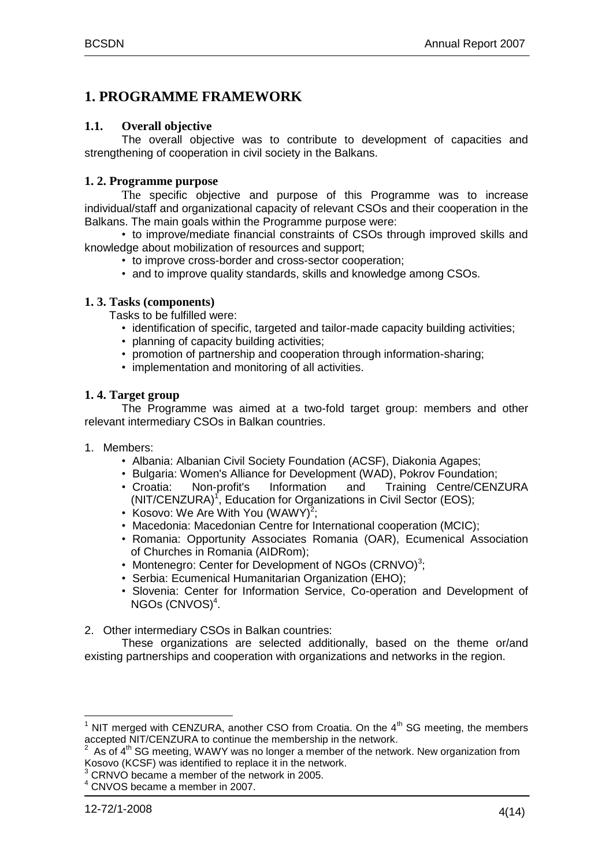## <span id="page-3-0"></span>**1. PROGRAMME FRAMEWORK**

## <span id="page-3-1"></span>**1.1. Overall objective**

The overall objective was to contribute to development of capacities and strengthening of cooperation in civil society in the Balkans.

## <span id="page-3-2"></span>**1. 2. Programme purpose**

The specific objective and purpose of this Programme was to increase individual/staff and organizational capacity of relevant CSOs and their cooperation in the Balkans. The main goals within the Programme purpose were:

• to improve/mediate financial constraints of CSOs through improved skills and knowledge about mobilization of resources and support;

- to improve cross-border and cross-sector cooperation;
- and to improve quality standards, skills and knowledge among CSOs.

#### <span id="page-3-3"></span>**1. 3. Tasks (components)**

Tasks to be fulfilled were:

- identification of specific, targeted and tailor-made capacity building activities;
- planning of capacity building activities;
- promotion of partnership and cooperation through information-sharing;
- implementation and monitoring of all activities.

#### <span id="page-3-4"></span>**1. 4. Target group**

The Programme was aimed at a two-fold target group: members and other relevant intermediary CSOs in Balkan countries.

- 1. Members:
	- Albania: Albanian Civil Society Foundation (ACSF), Diakonia Agapes;
	- Bulgaria: Women's Alliance for Development (WAD), Pokrov Foundation;
	- Croatia: Non-profit's Information and Training Centre/CENZURA (NIT/CENZURA)<sup>1</sup>, Education for Organizations in Civil Sector (EOS);
	- Kosovo: We Are With You (WAWY) $^2$ ;
	- Macedonia: Macedonian Centre for International cooperation (MCIC);
	- Romania: Opportunity Associates Romania (OAR), Ecumenical Association of Churches in Romania (AIDRom);
	- Montenegro: Center for Development of NGOs (CRNVO)<sup>3</sup>;
	- Serbia: Ecumenical Humanitarian Organization (EHO);
	- Slovenia: Center for Information Service, Co-operation and Development of NGOs (CNVOS)<sup>4</sup>.
- 2. Other intermediary CSOs in Balkan countries:

These organizations are selected additionally, based on the theme or/and existing partnerships and cooperation with organizations and networks in the region.

 $\overline{a}$ 

 $1$  NIT merged with CENZURA, another CSO from Croatia. On the  $4<sup>th</sup>$  SG meeting, the members accepted NIT/CENZURA to continue the membership in the network.<br><sup>2</sup> As of 4<sup>th</sup> SC meeting, WAWY was no longer a member of the network.

As of 4<sup>th</sup> SG meeting, WAWY was no longer a member of the network. New organization from Kosovo (KCSF) was identified to replace it in the network.

<sup>3</sup> CRNVO became a member of the network in 2005.

<sup>4</sup> CNVOS became a member in 2007.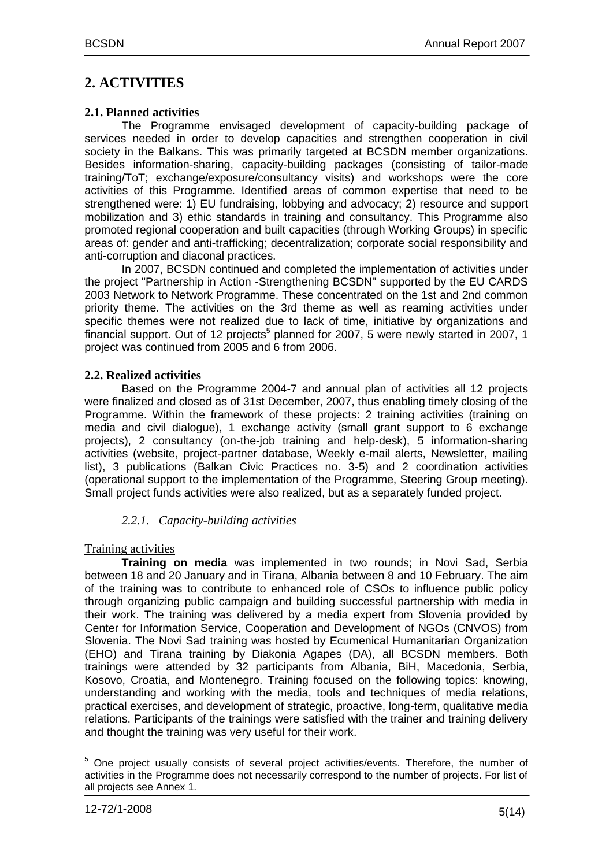## <span id="page-4-0"></span>**2. ACTIVITIES**

## <span id="page-4-1"></span>**2.1. Planned activities**

The Programme envisaged development of capacity-building package of services needed in order to develop capacities and strengthen cooperation in civil society in the Balkans. This was primarily targeted at BCSDN member organizations. Besides information-sharing, capacity-building packages (consisting of tailor-made training/ToT; exchange/exposure/consultancy visits) and workshops were the core activities of this Programme. Identified areas of common expertise that need to be strengthened were: 1) EU fundraising, lobbying and advocacy; 2) resource and support mobilization and 3) ethic standards in training and consultancy. This Programme also promoted regional cooperation and built capacities (through Working Groups) in specific areas of: gender and anti-trafficking; decentralization; corporate social responsibility and anti-corruption and diaconal practices.

In 2007, BCSDN continued and completed the implementation of activities under the project "Partnership in Action -Strengthening BCSDN" supported by the EU CARDS 2003 Network to Network Programme. These concentrated on the 1st and 2nd common priority theme. The activities on the 3rd theme as well as reaming activities under specific themes were not realized due to lack of time, initiative by organizations and financial support. Out of 12 projects<sup>5</sup> planned for 2007, 5 were newly started in 2007, 1 project was continued from 2005 and 6 from 2006.

## <span id="page-4-2"></span>**2.2. Realized activities**

Based on the Programme 2004-7 and annual plan of activities all 12 projects were finalized and closed as of 31st December, 2007, thus enabling timely closing of the Programme. Within the framework of these projects: 2 training activities (training on media and civil dialogue), 1 exchange activity (small grant support to 6 exchange projects), 2 consultancy (on-the-job training and help-desk), 5 information-sharing activities (website, project-partner database, Weekly e-mail alerts, Newsletter, mailing list), 3 publications (Balkan Civic Practices no. 3-5) and 2 coordination activities (operational support to the implementation of the Programme, Steering Group meeting). Small project funds activities were also realized, but as a separately funded project.

## *2.2.1. Capacity-building activities*

## <span id="page-4-3"></span>Training activities

**Training on media** was implemented in two rounds; in Novi Sad, Serbia between 18 and 20 January and in Tirana, Albania between 8 and 10 February. The aim of the training was to contribute to enhanced role of CSOs to influence public policy through organizing public campaign and building successful partnership with media in their work. The training was delivered by a media expert from Slovenia provided by Center for Information Service, Cooperation and Development of NGOs (CNVOS) from Slovenia. The Novi Sad training was hosted by Ecumenical Humanitarian Organization (EHO) and Tirana training by Diakonia Agapes (DA), all BCSDN members. Both trainings were attended by 32 participants from Albania, BiH, Macedonia, Serbia, Kosovo, Croatia, and Montenegro. Training focused on the following topics: knowing, understanding and working with the media, tools and techniques of media relations, practical exercises, and development of strategic, proactive, long-term, qualitative media relations. Participants of the trainings were satisfied with the trainer and training delivery and thought the training was very useful for their work.

 $\overline{a}$  $<sup>5</sup>$  One project usually consists of several project activities/events. Therefore, the number of</sup> activities in the Programme does not necessarily correspond to the number of projects. For list of all projects see Annex 1.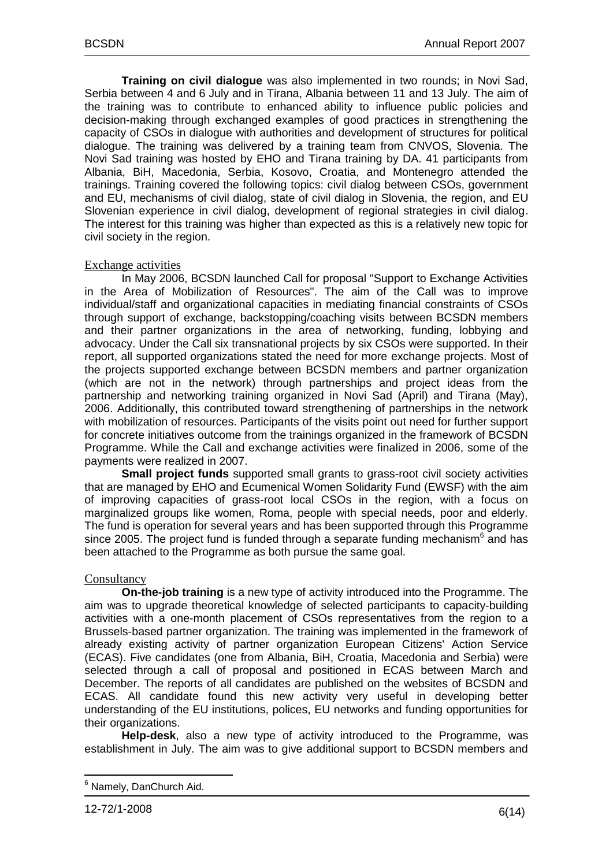**Training on civil dialogue** was also implemented in two rounds; in Novi Sad, Serbia between 4 and 6 July and in Tirana, Albania between 11 and 13 July. The aim of the training was to contribute to enhanced ability to influence public policies and decision-making through exchanged examples of good practices in strengthening the capacity of CSOs in dialogue with authorities and development of structures for political dialogue. The training was delivered by a training team from CNVOS, Slovenia. The Novi Sad training was hosted by EHO and Tirana training by DA. 41 participants from Albania, BiH, Macedonia, Serbia, Kosovo, Croatia, and Montenegro attended the trainings. Training covered the following topics: civil dialog between CSOs, government and EU, mechanisms of civil dialog, state of civil dialog in Slovenia, the region, and EU Slovenian experience in civil dialog, development of regional strategies in civil dialog. The interest for this training was higher than expected as this is a relatively new topic for civil society in the region.

#### Exchange activities

In May 2006, BCSDN launched Call for proposal "Support to Exchange Activities in the Area of Mobilization of Resources". The aim of the Call was to improve individual/staff and organizational capacities in mediating financial constraints of CSOs through support of exchange, backstopping/coaching visits between BCSDN members and their partner organizations in the area of networking, funding, lobbying and advocacy. Under the Call six transnational projects by six CSOs were supported. In their report, all supported organizations stated the need for more exchange projects. Most of the projects supported exchange between BCSDN members and partner organization (which are not in the network) through partnerships and project ideas from the partnership and networking training organized in Novi Sad (April) and Tirana (May), 2006. Additionally, this contributed toward strengthening of partnerships in the network with mobilization of resources. Participants of the visits point out need for further support for concrete initiatives outcome from the trainings organized in the framework of BCSDN Programme. While the Call and exchange activities were finalized in 2006, some of the payments were realized in 2007.

**Small project funds** supported small grants to grass-root civil society activities that are managed by EHO and Ecumenical Women Solidarity Fund (EWSF) with the aim of improving capacities of grass-root local CSOs in the region, with a focus on marginalized groups like women, Roma, people with special needs, poor and elderly. The fund is operation for several years and has been supported through this Programme since 2005. The project fund is funded through a separate funding mechanism<sup>6</sup> and has been attached to the Programme as both pursue the same goal.

## **Consultancy**

**On-the-job training** is a new type of activity introduced into the Programme. The aim was to upgrade theoretical knowledge of selected participants to capacity-building activities with a one-month placement of CSOs representatives from the region to a Brussels-based partner organization. The training was implemented in the framework of already existing activity of partner organization European Citizens' Action Service (ECAS). Five candidates (one from Albania, BiH, Croatia, Macedonia and Serbia) were selected through a call of proposal and positioned in ECAS between March and December. The reports of all candidates are published on the websites of BCSDN and ECAS. All candidate found this new activity very useful in developing better understanding of the EU institutions, polices, EU networks and funding opportunities for their organizations.

**Help-desk**, also a new type of activity introduced to the Programme, was establishment in July. The aim was to give additional support to BCSDN members and

 $\overline{a}$ <sup>6</sup> Namely, DanChurch Aid.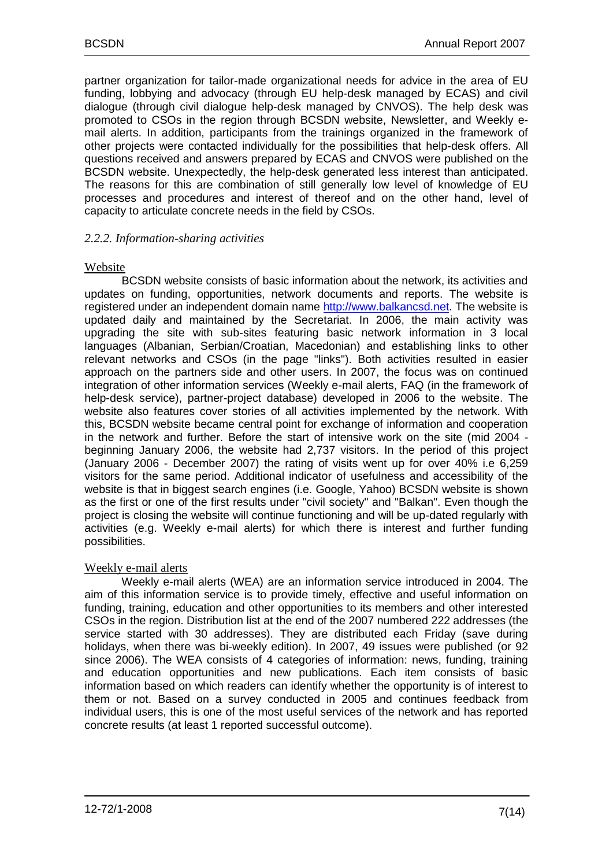partner organization for tailor-made organizational needs for advice in the area of EU funding, lobbying and advocacy (through EU help-desk managed by ECAS) and civil dialogue (through civil dialogue help-desk managed by CNVOS). The help desk was promoted to CSOs in the region through BCSDN website, Newsletter, and Weekly email alerts. In addition, participants from the trainings organized in the framework of other projects were contacted individually for the possibilities that help-desk offers. All questions received and answers prepared by ECAS and CNVOS were published on the BCSDN website. Unexpectedly, the help-desk generated less interest than anticipated. The reasons for this are combination of still generally low level of knowledge of EU processes and procedures and interest of thereof and on the other hand, level of capacity to articulate concrete needs in the field by CSOs.

## <span id="page-6-0"></span>*2.2.2. Information-sharing activities*

#### Website

BCSDN website consists of basic information about the network, its activities and updates on funding, opportunities, network documents and reports. The website is registered under an independent domain name http://www.balkancsd.net. The website is updated daily and maintained by the Secretariat. In 2006, the main activity was upgrading the site with sub-sites featuring basic network information in 3 local languages (Albanian, Serbian/Croatian, Macedonian) and establishing links to other relevant networks and CSOs (in the page "links"). Both activities resulted in easier approach on the partners side and other users. In 2007, the focus was on continued integration of other information services (Weekly e-mail alerts, FAQ (in the framework of help-desk service), partner-project database) developed in 2006 to the website. The website also features cover stories of all activities implemented by the network. With this, BCSDN website became central point for exchange of information and cooperation in the network and further. Before the start of intensive work on the site (mid 2004 beginning January 2006, the website had 2,737 visitors. In the period of this project (January 2006 - December 2007) the rating of visits went up for over 40% i.e 6,259 visitors for the same period. Additional indicator of usefulness and accessibility of the website is that in biggest search engines (i.e. Google, Yahoo) BCSDN website is shown as the first or one of the first results under "civil society" and "Balkan". Even though the project is closing the website will continue functioning and will be up-dated regularly with activities (e.g. Weekly e-mail alerts) for which there is interest and further funding possibilities.

## Weekly e-mail alerts

Weekly e-mail alerts (WEA) are an information service introduced in 2004. The aim of this information service is to provide timely, effective and useful information on funding, training, education and other opportunities to its members and other interested CSOs in the region. Distribution list at the end of the 2007 numbered 222 addresses (the service started with 30 addresses). They are distributed each Friday (save during holidays, when there was bi-weekly edition). In 2007, 49 issues were published (or 92 since 2006). The WEA consists of 4 categories of information: news, funding, training and education opportunities and new publications. Each item consists of basic information based on which readers can identify whether the opportunity is of interest to them or not. Based on a survey conducted in 2005 and continues feedback from individual users, this is one of the most useful services of the network and has reported concrete results (at least 1 reported successful outcome).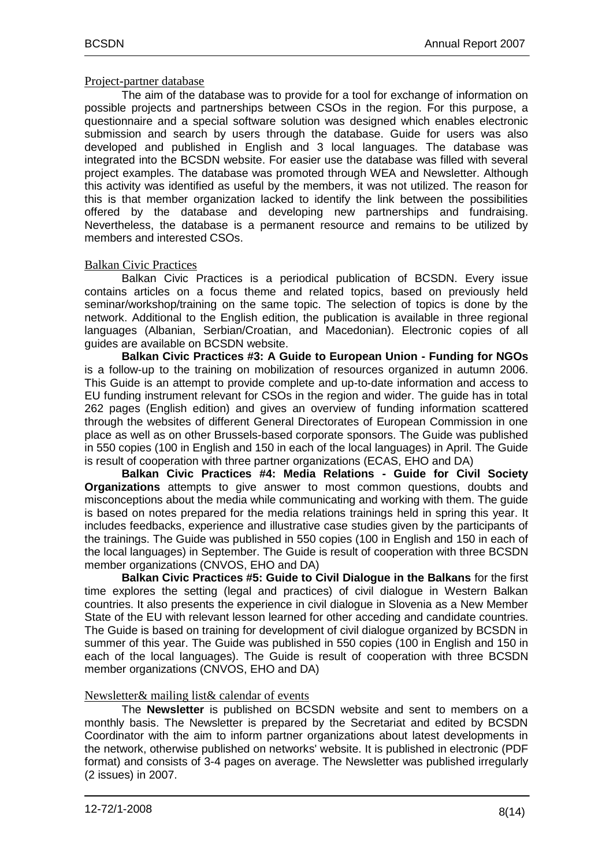#### Project-partner database

The aim of the database was to provide for a tool for exchange of information on possible projects and partnerships between CSOs in the region. For this purpose, a questionnaire and a special software solution was designed which enables electronic submission and search by users through the database. Guide for users was also developed and published in English and 3 local languages. The database was integrated into the BCSDN website. For easier use the database was filled with several project examples. The database was promoted through WEA and Newsletter. Although this activity was identified as useful by the members, it was not utilized. The reason for this is that member organization lacked to identify the link between the possibilities offered by the database and developing new partnerships and fundraising. Nevertheless, the database is a permanent resource and remains to be utilized by members and interested CSOs.

## Balkan Civic Practices

Balkan Civic Practices is a periodical publication of BCSDN. Every issue contains articles on a focus theme and related topics, based on previously held seminar/workshop/training on the same topic. The selection of topics is done by the network. Additional to the English edition, the publication is available in three regional languages (Albanian, Serbian/Croatian, and Macedonian). Electronic copies of all guides are available on BCSDN website.

**Balkan Civic Practices #3: A Guide to European Union - Funding for NGOs** is a follow-up to the training on mobilization of resources organized in autumn 2006. This Guide is an attempt to provide complete and up-to-date information and access to EU funding instrument relevant for CSOs in the region and wider. The guide has in total 262 pages (English edition) and gives an overview of funding information scattered through the websites of different General Directorates of European Commission in one place as well as on other Brussels-based corporate sponsors. The Guide was published in 550 copies (100 in English and 150 in each of the local languages) in April. The Guide is result of cooperation with three partner organizations (ECAS, EHO and DA)

**Balkan Civic Practices #4: Media Relations - Guide for Civil Society Organizations** attempts to give answer to most common questions, doubts and misconceptions about the media while communicating and working with them. The guide is based on notes prepared for the media relations trainings held in spring this year. It includes feedbacks, experience and illustrative case studies given by the participants of the trainings. The Guide was published in 550 copies (100 in English and 150 in each of the local languages) in September. The Guide is result of cooperation with three BCSDN member organizations (CNVOS, EHO and DA)

**Balkan Civic Practices #5: Guide to Civil Dialogue in the Balkans** for the first time explores the setting (legal and practices) of civil dialogue in Western Balkan countries. It also presents the experience in civil dialogue in Slovenia as a New Member State of the EU with relevant lesson learned for other acceding and candidate countries. The Guide is based on training for development of civil dialogue organized by BCSDN in summer of this year. The Guide was published in 550 copies (100 in English and 150 in each of the local languages). The Guide is result of cooperation with three BCSDN member organizations (CNVOS, EHO and DA)

## Newsletter& mailing list& calendar of events

The **Newsletter** is published on BCSDN website and sent to members on a monthly basis. The Newsletter is prepared by the Secretariat and edited by BCSDN Coordinator with the aim to inform partner organizations about latest developments in the network, otherwise published on networks' website. It is published in electronic (PDF format) and consists of 3-4 pages on average. The Newsletter was published irregularly (2 issues) in 2007.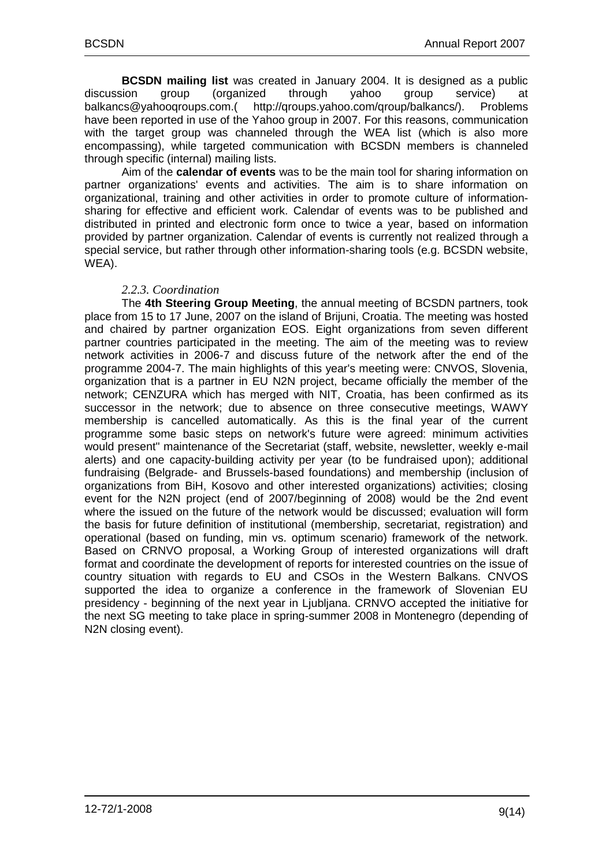**BCSDN mailing list** was created in January 2004. It is designed as a public discussion group (organized through yahoo group service) at balkancs@yahooqroups.com.( http://qroups.yahoo.com/qroup/balkancs/). Problems have been reported in use of the Yahoo group in 2007. For this reasons, communication with the target group was channeled through the WEA list (which is also more encompassing), while targeted communication with BCSDN members is channeled through specific (internal) mailing lists.

Aim of the **calendar of events** was to be the main tool for sharing information on partner organizations' events and activities. The aim is to share information on organizational, training and other activities in order to promote culture of informationsharing for effective and efficient work. Calendar of events was to be published and distributed in printed and electronic form once to twice a year, based on information provided by partner organization. Calendar of events is currently not realized through a special service, but rather through other information-sharing tools (e.g. BCSDN website, WEA).

#### *2.2.3. Coordination*

The **4th Steering Group Meeting**, the annual meeting of BCSDN partners, took place from 15 to 17 June, 2007 on the island of Brijuni, Croatia. The meeting was hosted and chaired by partner organization EOS. Eight organizations from seven different partner countries participated in the meeting. The aim of the meeting was to review network activities in 2006-7 and discuss future of the network after the end of the programme 2004-7. The main highlights of this year's meeting were: CNVOS, Slovenia, organization that is a partner in EU N2N project, became officially the member of the network; CENZURA which has merged with NIT, Croatia, has been confirmed as its successor in the network; due to absence on three consecutive meetings, WAWY membership is cancelled automatically. As this is the final year of the current programme some basic steps on network's future were agreed: minimum activities would present" maintenance of the Secretariat (staff, website, newsletter, weekly e-mail alerts) and one capacity-building activity per year (to be fundraised upon); additional fundraising (Belgrade- and Brussels-based foundations) and membership (inclusion of organizations from BiH, Kosovo and other interested organizations) activities; closing event for the N2N project (end of 2007/beginning of 2008) would be the 2nd event where the issued on the future of the network would be discussed; evaluation will form the basis for future definition of institutional (membership, secretariat, registration) and operational (based on funding, min vs. optimum scenario) framework of the network. Based on CRNVO proposal, a Working Group of interested organizations will draft format and coordinate the development of reports for interested countries on the issue of country situation with regards to EU and CSOs in the Western Balkans. CNVOS supported the idea to organize a conference in the framework of Slovenian EU presidency - beginning of the next year in Ljubljana. CRNVO accepted the initiative for the next SG meeting to take place in spring-summer 2008 in Montenegro (depending of N2N closing event).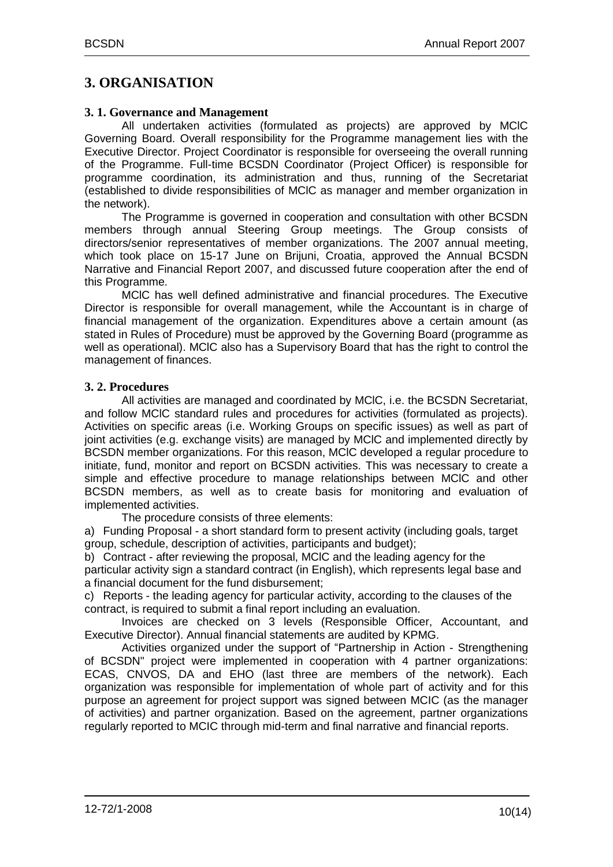## <span id="page-9-0"></span>**3. ORGANISATION**

#### <span id="page-9-1"></span>**3. 1. Governance and Management**

All undertaken activities (formulated as projects) are approved by MClC Governing Board. Overall responsibility for the Programme management lies with the Executive Director. Project Coordinator is responsible for overseeing the overall running of the Programme. Full-time BCSDN Coordinator (Project Officer) is responsible for programme coordination, its administration and thus, running of the Secretariat (established to divide responsibilities of MClC as manager and member organization in the network).

The Programme is governed in cooperation and consultation with other BCSDN members through annual Steering Group meetings. The Group consists of directors/senior representatives of member organizations. The 2007 annual meeting, which took place on 15-17 June on Brijuni, Croatia, approved the Annual BCSDN Narrative and Financial Report 2007, and discussed future cooperation after the end of this Programme.

MClC has well defined administrative and financial procedures. The Executive Director is responsible for overall management, while the Accountant is in charge of financial management of the organization. Expenditures above a certain amount (as stated in Rules of Procedure) must be approved by the Governing Board (programme as well as operational). MClC also has a Supervisory Board that has the right to control the management of finances.

## <span id="page-9-2"></span>**3. 2. Procedures**

All activities are managed and coordinated by MClC, i.e. the BCSDN Secretariat, and follow MClC standard rules and procedures for activities (formulated as projects). Activities on specific areas (i.e. Working Groups on specific issues) as well as part of joint activities (e.g. exchange visits) are managed by MClC and implemented directly by BCSDN member organizations. For this reason, MClC developed a regular procedure to initiate, fund, monitor and report on BCSDN activities. This was necessary to create a simple and effective procedure to manage relationships between MClC and other BCSDN members, as well as to create basis for monitoring and evaluation of implemented activities.

The procedure consists of three elements:

a) Funding Proposal - a short standard form to present activity (including goals, target group, schedule, description of activities, participants and budget);

b) Contract - after reviewing the proposal, MClC and the leading agency for the particular activity sign a standard contract (in English), which represents legal base and a financial document for the fund disbursement;

c) Reports - the leading agency for particular activity, according to the clauses of the contract, is required to submit a final report including an evaluation.

Invoices are checked on 3 levels (Responsible Officer, Accountant, and Executive Director). Annual financial statements are audited by KPMG.

Activities organized under the support of "Partnership in Action - Strengthening of BCSDN" project were implemented in cooperation with 4 partner organizations: ECAS, CNVOS, DA and EHO (last three are members of the network). Each organization was responsible for implementation of whole part of activity and for this purpose an agreement for project support was signed between MCIC (as the manager of activities) and partner organization. Based on the agreement, partner organizations regularly reported to MCIC through mid-term and final narrative and financial reports.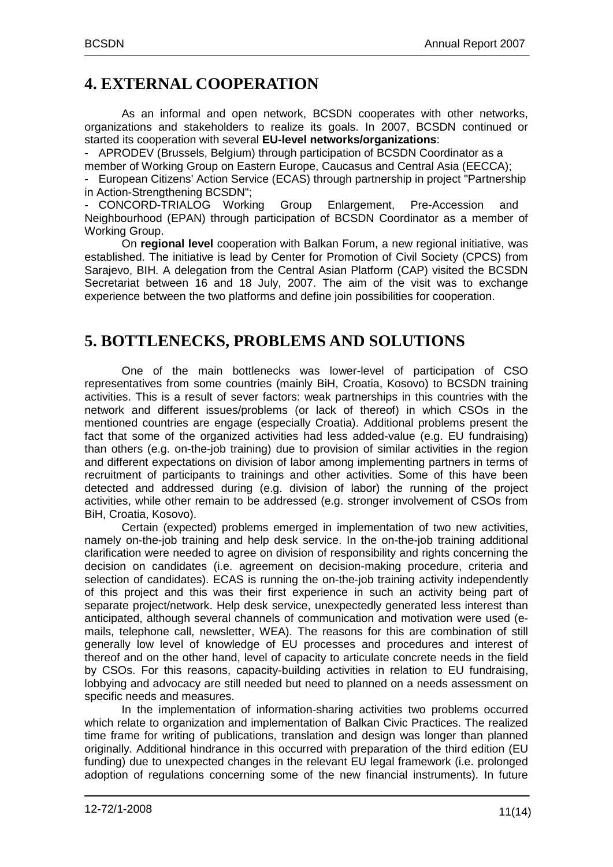# <span id="page-10-0"></span>**4. EXTERNAL COOPERATION**

As an informal and open network, BCSDN cooperates with other networks, organizations and stakeholders to realize its goals. In 2007, BCSDN continued or started its cooperation with several **EU-level networks/organizations**:

- APRODEV (Brussels, Belgium) through participation of BCSDN Coordinator as a member of Working Group on Eastern Europe, Caucasus and Central Asia (EECCA);

- European Citizens' Action Service (ECAS) through partnership in project "Partnership in Action-Strengthening BCSDN";

CONCORD-TRIALOG Working Group Enlargement, Pre-Accession Neighbourhood (EPAN) through participation of BCSDN Coordinator as a member of Working Group.

On **regional level** cooperation with Balkan Forum, a new regional initiative, was established. The initiative is lead by Center for Promotion of Civil Society (CPCS) from Sarajevo, BIH. A delegation from the Central Asian Platform (CAP) visited the BCSDN Secretariat between 16 and 18 July, 2007. The aim of the visit was to exchange experience between the two platforms and define join possibilities for cooperation.

# <span id="page-10-1"></span>**5. BOTTLENECKS, PROBLEMS AND SOLUTIONS**

One of the main bottlenecks was lower-level of participation of CSO representatives from some countries (mainly BiH, Croatia, Kosovo) to BCSDN training activities. This is a result of sever factors: weak partnerships in this countries with the network and different issues/problems (or lack of thereof) in which CSOs in the mentioned countries are engage (especially Croatia). Additional problems present the fact that some of the organized activities had less added-value (e.g. EU fundraising) than others (e.g. on-the-job training) due to provision of similar activities in the region and different expectations on division of labor among implementing partners in terms of recruitment of participants to trainings and other activities. Some of this have been detected and addressed during (e.g. division of labor) the running of the project activities, while other remain to be addressed (e.g. stronger involvement of CSOs from BiH, Croatia, Kosovo).

Certain (expected) problems emerged in implementation of two new activities, namely on-the-job training and help desk service. In the on-the-job training additional clarification were needed to agree on division of responsibility and rights concerning the decision on candidates (i.e. agreement on decision-making procedure, criteria and selection of candidates). ECAS is running the on-the-job training activity independently of this project and this was their first experience in such an activity being part of separate project/network. Help desk service, unexpectedly generated less interest than anticipated, although several channels of communication and motivation were used (emails, telephone call, newsletter, WEA). The reasons for this are combination of still generally low level of knowledge of EU processes and procedures and interest of thereof and on the other hand, level of capacity to articulate concrete needs in the field by CSOs. For this reasons, capacity-building activities in relation to EU fundraising, lobbying and advocacy are still needed but need to planned on a needs assessment on specific needs and measures.

In the implementation of information-sharing activities two problems occurred which relate to organization and implementation of Balkan Civic Practices. The realized time frame for writing of publications, translation and design was longer than planned originally. Additional hindrance in this occurred with preparation of the third edition (EU funding) due to unexpected changes in the relevant EU legal framework (i.e. prolonged adoption of regulations concerning some of the new financial instruments). In future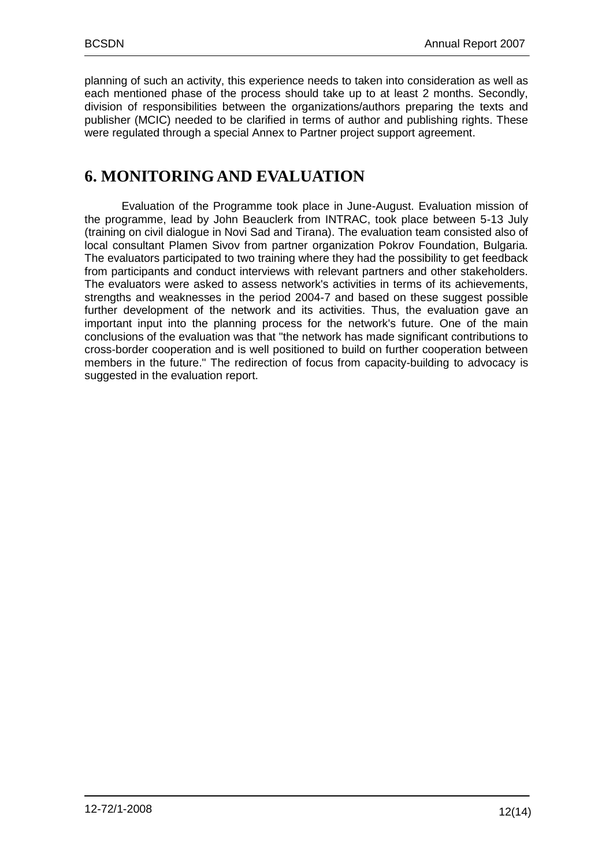planning of such an activity, this experience needs to taken into consideration as well as each mentioned phase of the process should take up to at least 2 months. Secondly, division of responsibilities between the organizations/authors preparing the texts and publisher (MCIC) needed to be clarified in terms of author and publishing rights. These were regulated through a special Annex to Partner project support agreement.

# <span id="page-11-0"></span>**6. MONITORING AND EVALUATION**

Evaluation of the Programme took place in June-August. Evaluation mission of the programme, lead by John Beauclerk from INTRAC, took place between 5-13 July (training on civil dialogue in Novi Sad and Tirana). The evaluation team consisted also of local consultant Plamen Sivov from partner organization Pokrov Foundation, Bulgaria. The evaluators participated to two training where they had the possibility to get feedback from participants and conduct interviews with relevant partners and other stakeholders. The evaluators were asked to assess network's activities in terms of its achievements, strengths and weaknesses in the period 2004-7 and based on these suggest possible further development of the network and its activities. Thus, the evaluation gave an important input into the planning process for the network's future. One of the main conclusions of the evaluation was that "the network has made significant contributions to cross-border cooperation and is well positioned to build on further cooperation between members in the future." The redirection of focus from capacity-building to advocacy is suggested in the evaluation report.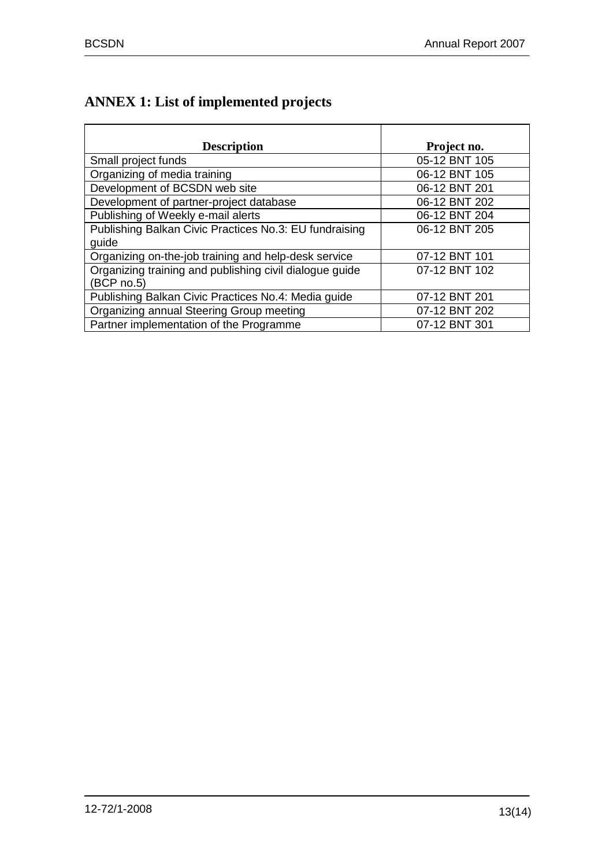# <span id="page-12-0"></span>**ANNEX 1: List of implemented projects**

| <b>Description</b>                                      | Project no.   |
|---------------------------------------------------------|---------------|
| Small project funds                                     | 05-12 BNT 105 |
| Organizing of media training                            | 06-12 BNT 105 |
| Development of BCSDN web site                           | 06-12 BNT 201 |
| Development of partner-project database                 | 06-12 BNT 202 |
| Publishing of Weekly e-mail alerts                      | 06-12 BNT 204 |
| Publishing Balkan Civic Practices No.3: EU fundraising  | 06-12 BNT 205 |
| guide                                                   |               |
| Organizing on-the-job training and help-desk service    | 07-12 BNT 101 |
| Organizing training and publishing civil dialogue guide | 07-12 BNT 102 |
| (BCP no.5)                                              |               |
| Publishing Balkan Civic Practices No.4: Media guide     | 07-12 BNT 201 |
| Organizing annual Steering Group meeting                | 07-12 BNT 202 |
| Partner implementation of the Programme                 | 07-12 BNT 301 |